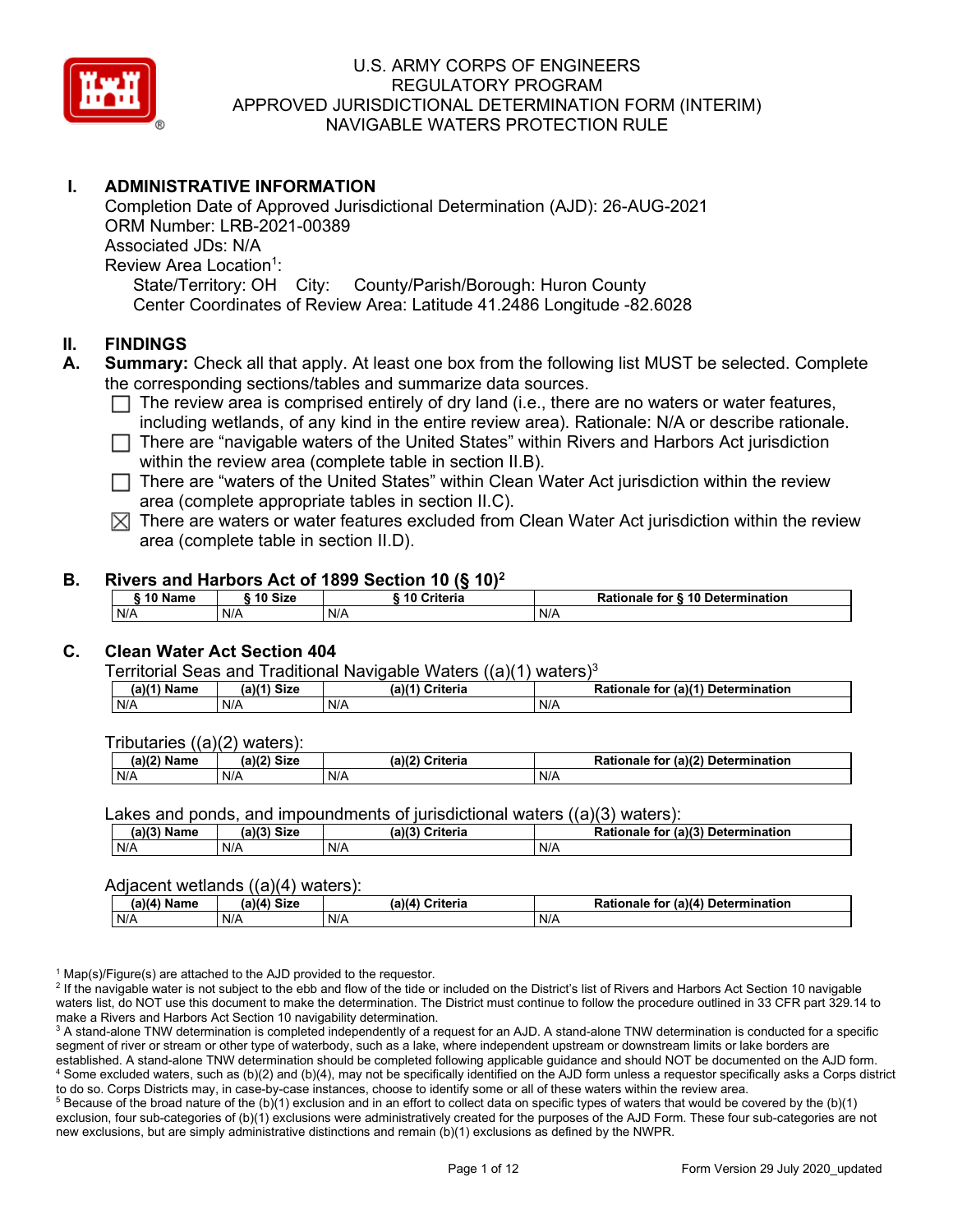

# **I. ADMINISTRATIVE INFORMATION**

Completion Date of Approved Jurisdictional Determination (AJD): 26-AUG-2021 ORM Number: LRB-2021-00389 Associated JDs: N/A Review Area Location<sup>1</sup>: State/Territory: OH City: County/Parish/Borough: Huron County Center Coordinates of Review Area: Latitude 41.2486 Longitude -82.6028

#### **II. FINDINGS**

- **A. Summary:** Check all that apply. At least one box from the following list MUST be selected. Complete the corresponding sections/tables and summarize data sources.
	- $\Box$  The review area is comprised entirely of dry land (i.e., there are no waters or water features, including wetlands, of any kind in the entire review area). Rationale: N/A or describe rationale.
	- $\Box$  There are "navigable waters of the United States" within Rivers and Harbors Act jurisdiction within the review area (complete table in section II.B).
	- $\Box$  There are "waters of the United States" within Clean Water Act jurisdiction within the review area (complete appropriate tables in section II.C).
	- $\boxtimes$  There are waters or water features excluded from Clean Water Act jurisdiction within the review area (complete table in section II.D).

#### **B. Rivers and Harbors Act of 1899 Section 10 (§ 10)2**

| $\hat{}$ 10 Name | ົ <sup>1</sup> 0 Size | ---<br>10 Criteria | Rationale for § 10 Determination |
|------------------|-----------------------|--------------------|----------------------------------|
| N/A              | N/A                   | N/A                | N/A                              |

# **C. Clean Water Act Section 404**

Territorial Seas and Traditional Navigable Waters  $((a)(1)$  waters)<sup>3</sup>

| $(a)(1)$ .<br>Name | $(a)$ $(4)$<br>Size | (a)<br>Criteria | (a)(1) Determination<br>Rationale<br>for |
|--------------------|---------------------|-----------------|------------------------------------------|
| N/A                | N/A                 | N/A             | N/A                                      |

Tributaries ((a)(2) waters):

| н   | $\sim$<br>$\sim$ Cine<br>JILE | 21/2<br>$"$ wid a wi $"$ a<br>пе | (2)<br><b>Determination</b><br>TOI<br>naie |
|-----|-------------------------------|----------------------------------|--------------------------------------------|
| N/A | N/A                           | N/A                              | N/A                                        |

Lakes and ponds, and impoundments of jurisdictional waters ((a)(3) waters):

| (a)(3) Name | (a)(3)<br>Siz، | (a)(2)<br>Criteria | .r (a)( <sup>م</sup> ر<br><b>Rationale</b><br><b>Determination</b><br>tor |
|-------------|----------------|--------------------|---------------------------------------------------------------------------|
| N/A         | N/A            | N/A                | N/A                                                                       |

#### Adjacent wetlands ((a)(4) waters):

|               | .           | .               |                                    |
|---------------|-------------|-----------------|------------------------------------|
| $(a)(4)$ Name | (a)(4) Size | (a)(4) Criteria | Rationale for (a)(4) Determination |
| N/A           | N/f         | N/A             | N/A                                |

 $1$  Map(s)/Figure(s) are attached to the AJD provided to the requestor.

<sup>2</sup> If the navigable water is not subject to the ebb and flow of the tide or included on the District's list of Rivers and Harbors Act Section 10 navigable waters list, do NOT use this document to make the determination. The District must continue to follow the procedure outlined in 33 CFR part 329.14 to make a Rivers and Harbors Act Section 10 navigability determination.

<sup>3</sup> A stand-alone TNW determination is completed independently of a request for an AJD. A stand-alone TNW determination is conducted for a specific segment of river or stream or other type of waterbody, such as a lake, where independent upstream or downstream limits or lake borders are established. A stand-alone TNW determination should be completed following applicable guidance and should NOT be documented on the AJD form. <sup>4</sup> Some excluded waters, such as (b)(2) and (b)(4), may not be specifically identified on the AJD form unless a requestor specifically asks a Corps district to do so. Corps Districts may, in case-by-case instances, choose to identify some or all of these waters within the review area.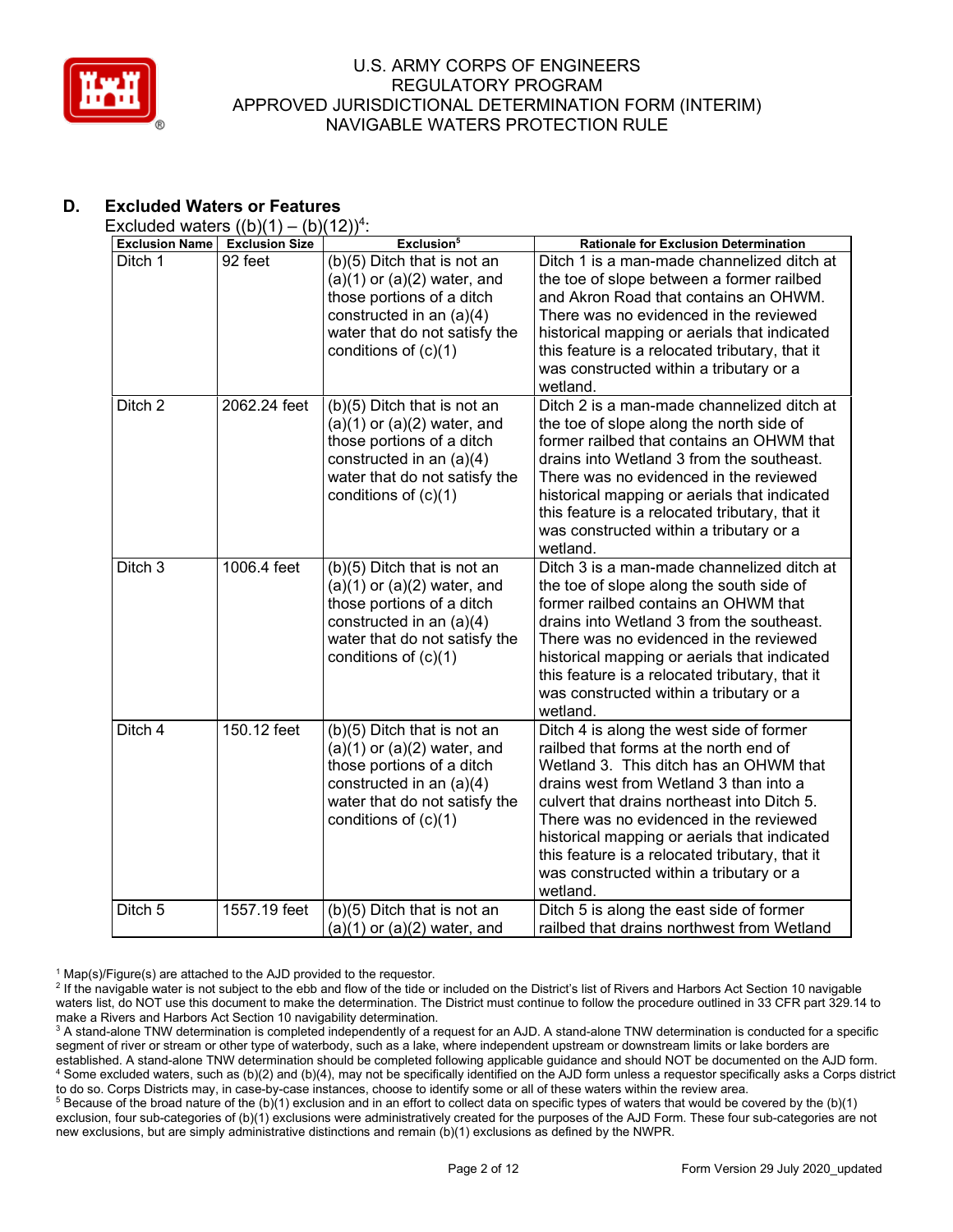

# **D. Excluded Waters or Features**

Excluded waters  $((b)(1) - (b)(12))^4$ :

| <b>Exclusion Name</b> | <b>Exclusion Size</b> | Exclusion <sup>5</sup>                                                                                                                                                             | <b>Rationale for Exclusion Determination</b>                                                                                                                                                                                                                                                                                                                                                                             |
|-----------------------|-----------------------|------------------------------------------------------------------------------------------------------------------------------------------------------------------------------------|--------------------------------------------------------------------------------------------------------------------------------------------------------------------------------------------------------------------------------------------------------------------------------------------------------------------------------------------------------------------------------------------------------------------------|
| Ditch 1               | 92 feet               | (b)(5) Ditch that is not an<br>$(a)(1)$ or $(a)(2)$ water, and<br>those portions of a ditch<br>constructed in an $(a)(4)$<br>water that do not satisfy the<br>conditions of (c)(1) | Ditch 1 is a man-made channelized ditch at<br>the toe of slope between a former railbed<br>and Akron Road that contains an OHWM.<br>There was no evidenced in the reviewed<br>historical mapping or aerials that indicated<br>this feature is a relocated tributary, that it<br>was constructed within a tributary or a<br>wetland.                                                                                      |
| Ditch <sub>2</sub>    | 2062.24 feet          | (b)(5) Ditch that is not an<br>$(a)(1)$ or $(a)(2)$ water, and<br>those portions of a ditch<br>constructed in an $(a)(4)$<br>water that do not satisfy the<br>conditions of (c)(1) | Ditch 2 is a man-made channelized ditch at<br>the toe of slope along the north side of<br>former railbed that contains an OHWM that<br>drains into Wetland 3 from the southeast.<br>There was no evidenced in the reviewed<br>historical mapping or aerials that indicated<br>this feature is a relocated tributary, that it<br>was constructed within a tributary or a<br>wetland.                                      |
| Ditch 3               | 1006.4 feet           | (b)(5) Ditch that is not an<br>$(a)(1)$ or $(a)(2)$ water, and<br>those portions of a ditch<br>constructed in an (a)(4)<br>water that do not satisfy the<br>conditions of $(c)(1)$ | Ditch 3 is a man-made channelized ditch at<br>the toe of slope along the south side of<br>former railbed contains an OHWM that<br>drains into Wetland 3 from the southeast.<br>There was no evidenced in the reviewed<br>historical mapping or aerials that indicated<br>this feature is a relocated tributary, that it<br>was constructed within a tributary or a<br>wetland.                                           |
| Ditch $\overline{4}$  | 150.12 feet           | (b)(5) Ditch that is not an<br>$(a)(1)$ or $(a)(2)$ water, and<br>those portions of a ditch<br>constructed in an $(a)(4)$<br>water that do not satisfy the<br>conditions of (c)(1) | Ditch 4 is along the west side of former<br>railbed that forms at the north end of<br>Wetland 3. This ditch has an OHWM that<br>drains west from Wetland 3 than into a<br>culvert that drains northeast into Ditch 5.<br>There was no evidenced in the reviewed<br>historical mapping or aerials that indicated<br>this feature is a relocated tributary, that it<br>was constructed within a tributary or a<br>wetland. |
| Ditch <sub>5</sub>    | 1557.19 feet          | (b)(5) Ditch that is not an<br>$(a)(1)$ or $(a)(2)$ water, and                                                                                                                     | Ditch 5 is along the east side of former<br>railbed that drains northwest from Wetland                                                                                                                                                                                                                                                                                                                                   |

 $1$  Map(s)/Figure(s) are attached to the AJD provided to the requestor.

<sup>&</sup>lt;sup>2</sup> If the navigable water is not subject to the ebb and flow of the tide or included on the District's list of Rivers and Harbors Act Section 10 navigable waters list, do NOT use this document to make the determination. The District must continue to follow the procedure outlined in 33 CFR part 329.14 to make a Rivers and Harbors Act Section 10 navigability determination.

<sup>&</sup>lt;sup>3</sup> A stand-alone TNW determination is completed independently of a request for an AJD. A stand-alone TNW determination is conducted for a specific segment of river or stream or other type of waterbody, such as a lake, where independent upstream or downstream limits or lake borders are established. A stand-alone TNW determination should be completed following applicable guidance and should NOT be documented on the AJD form. <sup>4</sup> Some excluded waters, such as (b)(2) and (b)(4), may not be specifically identified on the AJD form unless a requestor specifically asks a Corps district to do so. Corps Districts may, in case-by-case instances, choose to identify some or all of these waters within the review area.

<sup>&</sup>lt;sup>5</sup> Because of the broad nature of the (b)(1) exclusion and in an effort to collect data on specific types of waters that would be covered by the (b)(1) exclusion, four sub-categories of (b)(1) exclusions were administratively created for the purposes of the AJD Form. These four sub-categories are not new exclusions, but are simply administrative distinctions and remain (b)(1) exclusions as defined by the NWPR.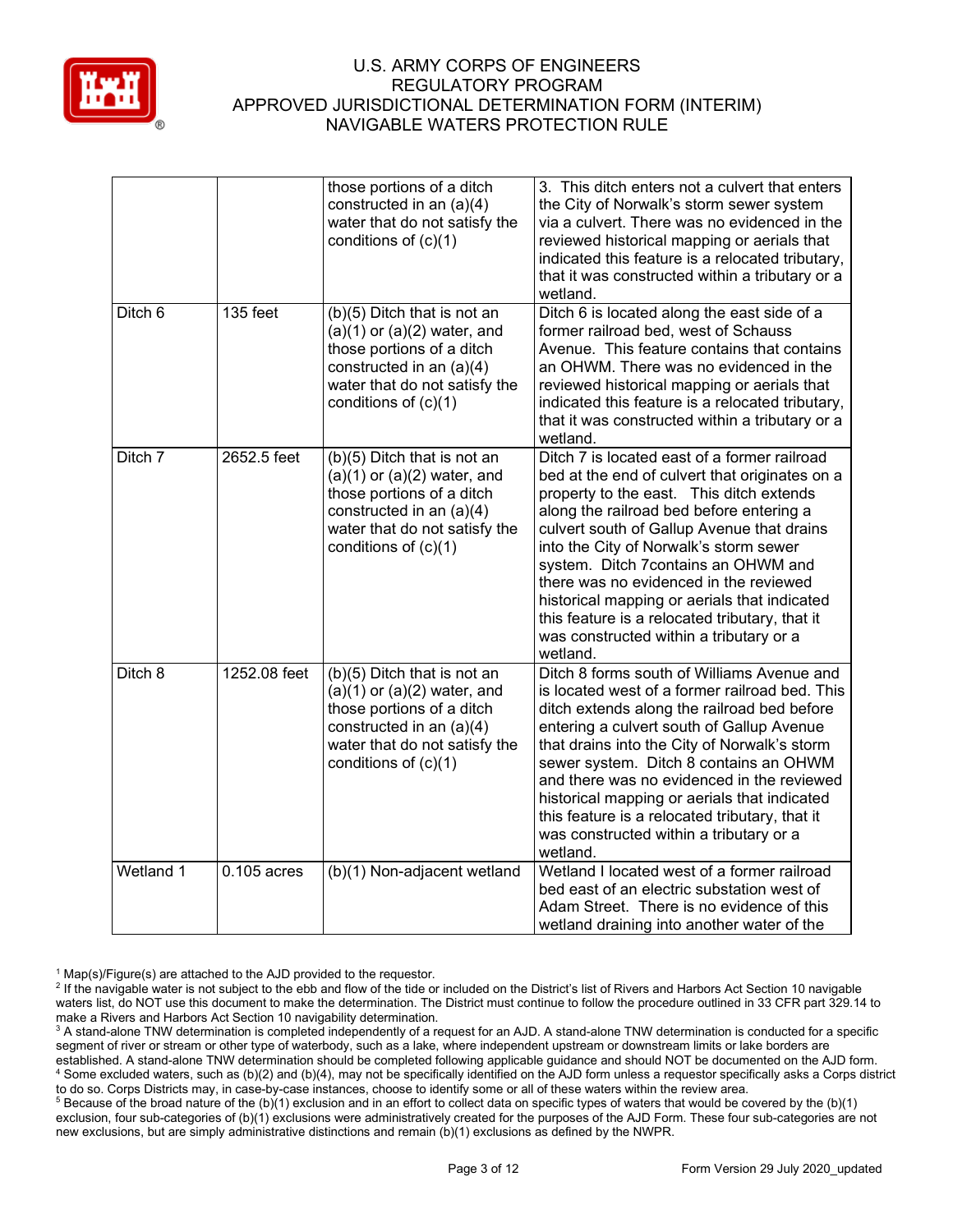

|           |               | those portions of a ditch<br>constructed in an (a)(4)<br>water that do not satisfy the<br>conditions of (c)(1)                                                                     | 3. This ditch enters not a culvert that enters<br>the City of Norwalk's storm sewer system<br>via a culvert. There was no evidenced in the<br>reviewed historical mapping or aerials that<br>indicated this feature is a relocated tributary,<br>that it was constructed within a tributary or a<br>wetland.                                                                                                                                                                                                             |
|-----------|---------------|------------------------------------------------------------------------------------------------------------------------------------------------------------------------------------|--------------------------------------------------------------------------------------------------------------------------------------------------------------------------------------------------------------------------------------------------------------------------------------------------------------------------------------------------------------------------------------------------------------------------------------------------------------------------------------------------------------------------|
| Ditch 6   | 135 feet      | (b)(5) Ditch that is not an<br>$(a)(1)$ or $(a)(2)$ water, and<br>those portions of a ditch<br>constructed in an (a)(4)<br>water that do not satisfy the<br>conditions of (c)(1)   | Ditch 6 is located along the east side of a<br>former railroad bed, west of Schauss<br>Avenue. This feature contains that contains<br>an OHWM. There was no evidenced in the<br>reviewed historical mapping or aerials that<br>indicated this feature is a relocated tributary,<br>that it was constructed within a tributary or a<br>wetland.                                                                                                                                                                           |
| Ditch 7   | 2652.5 feet   | $(b)(5)$ Ditch that is not an<br>$(a)(1)$ or $(a)(2)$ water, and<br>those portions of a ditch<br>constructed in an (a)(4)<br>water that do not satisfy the<br>conditions of (c)(1) | Ditch 7 is located east of a former railroad<br>bed at the end of culvert that originates on a<br>property to the east. This ditch extends<br>along the railroad bed before entering a<br>culvert south of Gallup Avenue that drains<br>into the City of Norwalk's storm sewer<br>system. Ditch 7contains an OHWM and<br>there was no evidenced in the reviewed<br>historical mapping or aerials that indicated<br>this feature is a relocated tributary, that it<br>was constructed within a tributary or a<br>wetland. |
| Ditch 8   | 1252.08 feet  | (b)(5) Ditch that is not an<br>$(a)(1)$ or $(a)(2)$ water, and<br>those portions of a ditch<br>constructed in an (a)(4)<br>water that do not satisfy the<br>conditions of (c)(1)   | Ditch 8 forms south of Williams Avenue and<br>is located west of a former railroad bed. This<br>ditch extends along the railroad bed before<br>entering a culvert south of Gallup Avenue<br>that drains into the City of Norwalk's storm<br>sewer system. Ditch 8 contains an OHWM<br>and there was no evidenced in the reviewed<br>historical mapping or aerials that indicated<br>this feature is a relocated tributary, that it<br>was constructed within a tributary or a<br>wetland.                                |
| Wetland 1 | $0.105$ acres | (b)(1) Non-adjacent wetland                                                                                                                                                        | Wetland I located west of a former railroad<br>bed east of an electric substation west of<br>Adam Street. There is no evidence of this<br>wetland draining into another water of the                                                                                                                                                                                                                                                                                                                                     |

 $1$  Map(s)/Figure(s) are attached to the AJD provided to the requestor.

<sup>&</sup>lt;sup>2</sup> If the navigable water is not subject to the ebb and flow of the tide or included on the District's list of Rivers and Harbors Act Section 10 navigable waters list, do NOT use this document to make the determination. The District must continue to follow the procedure outlined in 33 CFR part 329.14 to make a Rivers and Harbors Act Section 10 navigability determination.

<sup>&</sup>lt;sup>3</sup> A stand-alone TNW determination is completed independently of a request for an AJD. A stand-alone TNW determination is conducted for a specific segment of river or stream or other type of waterbody, such as a lake, where independent upstream or downstream limits or lake borders are established. A stand-alone TNW determination should be completed following applicable guidance and should NOT be documented on the AJD form. <sup>4</sup> Some excluded waters, such as (b)(2) and (b)(4), may not be specifically identified on the AJD form unless a requestor specifically asks a Corps district to do so. Corps Districts may, in case-by-case instances, choose to identify some or all of these waters within the review area.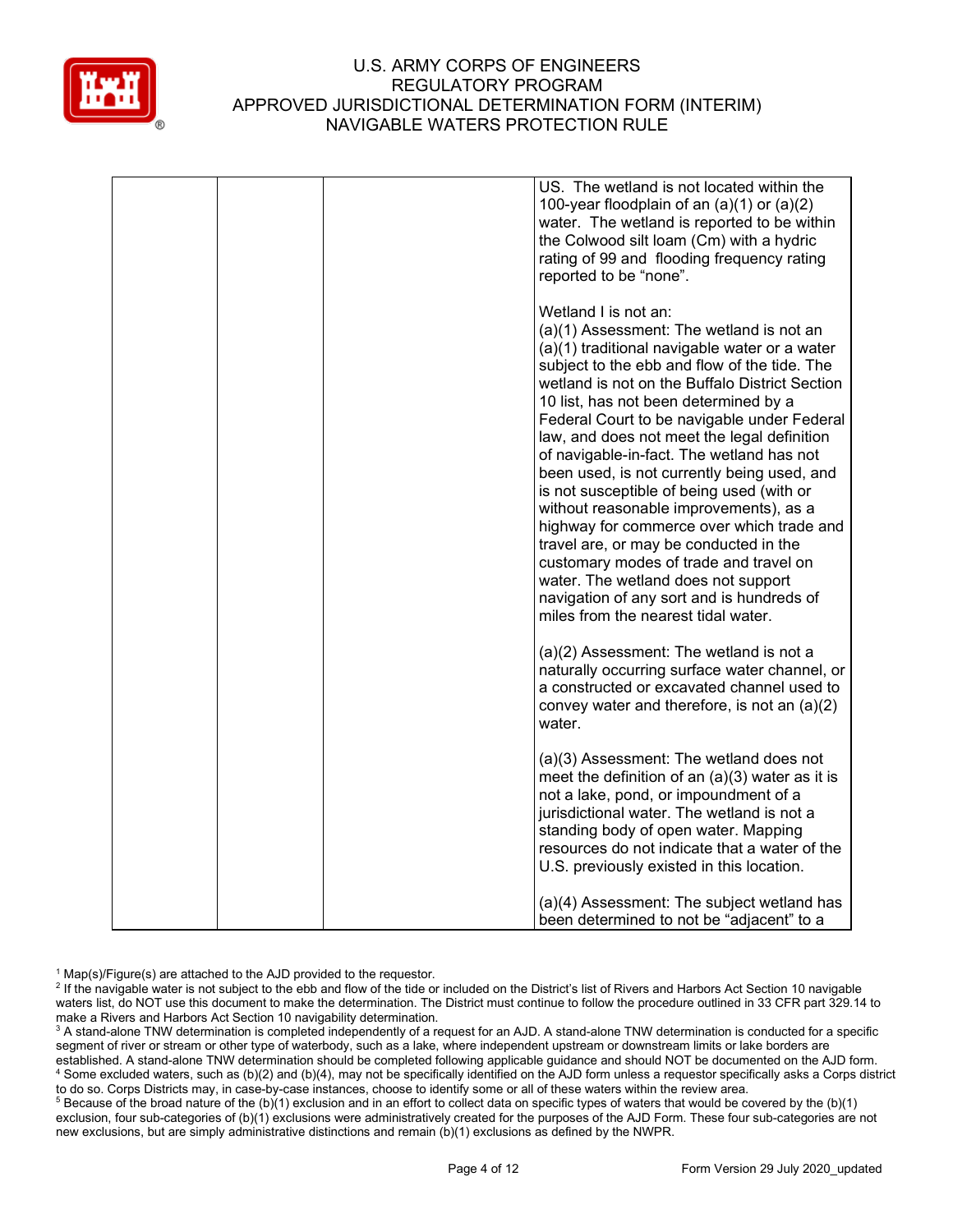

|  | US. The wetland is not located within the<br>100-year floodplain of an $(a)(1)$ or $(a)(2)$<br>water. The wetland is reported to be within<br>the Colwood silt loam (Cm) with a hydric<br>rating of 99 and flooding frequency rating<br>reported to be "none".                                                                                                                                                                                                                                                                                                                                                                                                                                                                                                                                            |
|--|-----------------------------------------------------------------------------------------------------------------------------------------------------------------------------------------------------------------------------------------------------------------------------------------------------------------------------------------------------------------------------------------------------------------------------------------------------------------------------------------------------------------------------------------------------------------------------------------------------------------------------------------------------------------------------------------------------------------------------------------------------------------------------------------------------------|
|  | Wetland I is not an:<br>(a)(1) Assessment: The wetland is not an<br>(a)(1) traditional navigable water or a water<br>subject to the ebb and flow of the tide. The<br>wetland is not on the Buffalo District Section<br>10 list, has not been determined by a<br>Federal Court to be navigable under Federal<br>law, and does not meet the legal definition<br>of navigable-in-fact. The wetland has not<br>been used, is not currently being used, and<br>is not susceptible of being used (with or<br>without reasonable improvements), as a<br>highway for commerce over which trade and<br>travel are, or may be conducted in the<br>customary modes of trade and travel on<br>water. The wetland does not support<br>navigation of any sort and is hundreds of<br>miles from the nearest tidal water. |
|  | (a)(2) Assessment: The wetland is not a<br>naturally occurring surface water channel, or<br>a constructed or excavated channel used to<br>convey water and therefore, is not an (a)(2)<br>water.                                                                                                                                                                                                                                                                                                                                                                                                                                                                                                                                                                                                          |
|  | (a)(3) Assessment: The wetland does not<br>meet the definition of an $(a)(3)$ water as it is<br>not a lake, pond, or impoundment of a<br>jurisdictional water. The wetland is not a<br>standing body of open water. Mapping<br>resources do not indicate that a water of the<br>U.S. previously existed in this location.                                                                                                                                                                                                                                                                                                                                                                                                                                                                                 |
|  | (a)(4) Assessment: The subject wetland has<br>been determined to not be "adjacent" to a                                                                                                                                                                                                                                                                                                                                                                                                                                                                                                                                                                                                                                                                                                                   |

 $1$  Map(s)/Figure(s) are attached to the AJD provided to the requestor.

<sup>2</sup> If the navigable water is not subject to the ebb and flow of the tide or included on the District's list of Rivers and Harbors Act Section 10 navigable waters list, do NOT use this document to make the determination. The District must continue to follow the procedure outlined in 33 CFR part 329.14 to make a Rivers and Harbors Act Section 10 navigability determination.

<sup>3</sup> A stand-alone TNW determination is completed independently of a request for an AJD. A stand-alone TNW determination is conducted for a specific segment of river or stream or other type of waterbody, such as a lake, where independent upstream or downstream limits or lake borders are established. A stand-alone TNW determination should be completed following applicable guidance and should NOT be documented on the AJD form. <sup>4</sup> Some excluded waters, such as (b)(2) and (b)(4), may not be specifically identified on the AJD form unless a requestor specifically asks a Corps district to do so. Corps Districts may, in case-by-case instances, choose to identify some or all of these waters within the review area.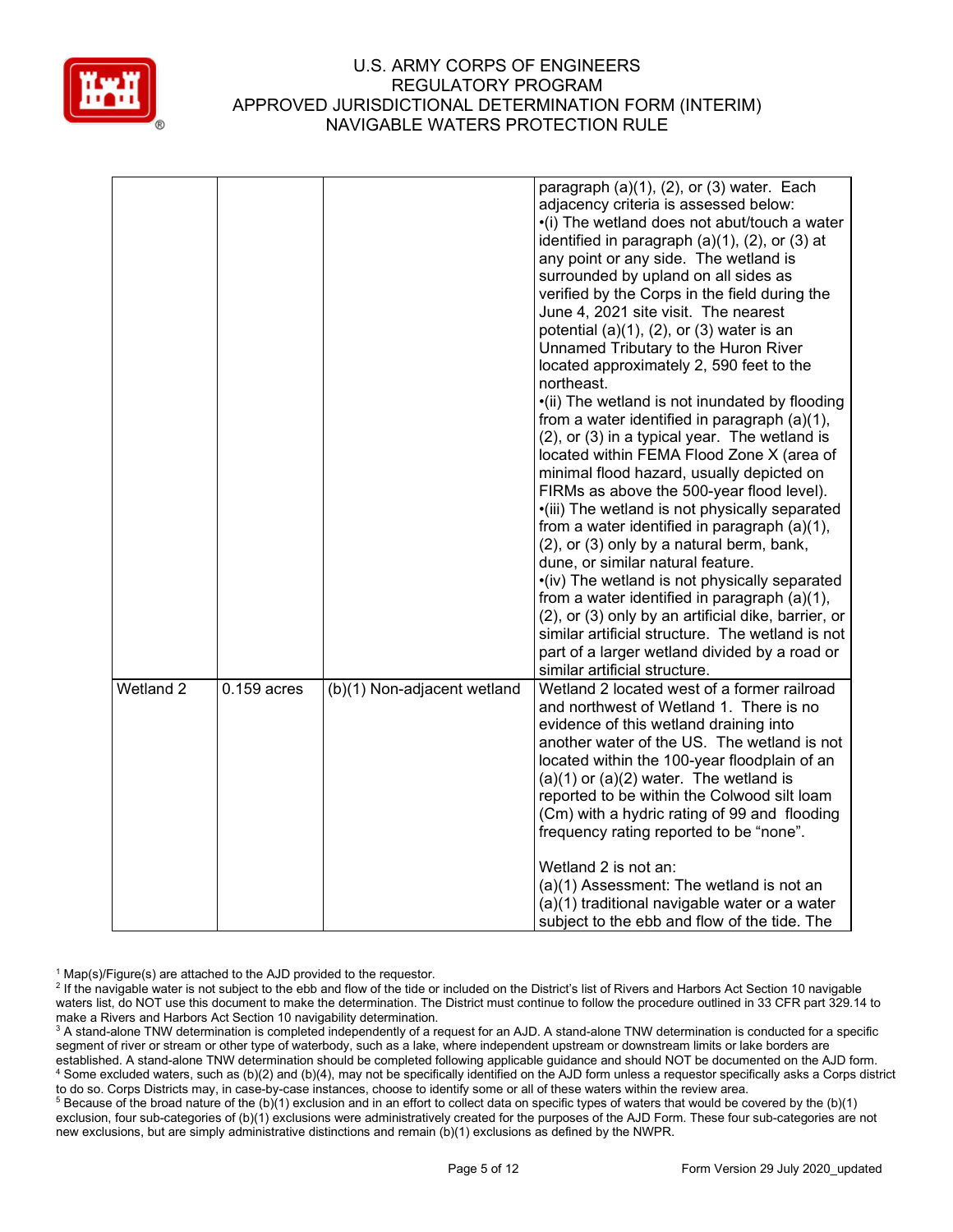

|           |               |                             | paragraph $(a)(1)$ , $(2)$ , or $(3)$ water. Each<br>adjacency criteria is assessed below:<br>•(i) The wetland does not abut/touch a water<br>identified in paragraph (a)(1), (2), or (3) at<br>any point or any side. The wetland is<br>surrounded by upland on all sides as<br>verified by the Corps in the field during the<br>June 4, 2021 site visit. The nearest<br>potential $(a)(1)$ , $(2)$ , or $(3)$ water is an<br>Unnamed Tributary to the Huron River<br>located approximately 2, 590 feet to the<br>northeast.<br>•(ii) The wetland is not inundated by flooding<br>from a water identified in paragraph (a)(1),<br>(2), or (3) in a typical year. The wetland is<br>located within FEMA Flood Zone X (area of<br>minimal flood hazard, usually depicted on<br>FIRMs as above the 500-year flood level).<br>·(iii) The wetland is not physically separated<br>from a water identified in paragraph (a)(1),<br>(2), or (3) only by a natural berm, bank,<br>dune, or similar natural feature.<br>•(iv) The wetland is not physically separated<br>from a water identified in paragraph (a)(1),<br>(2), or (3) only by an artificial dike, barrier, or<br>similar artificial structure. The wetland is not<br>part of a larger wetland divided by a road or |
|-----------|---------------|-----------------------------|--------------------------------------------------------------------------------------------------------------------------------------------------------------------------------------------------------------------------------------------------------------------------------------------------------------------------------------------------------------------------------------------------------------------------------------------------------------------------------------------------------------------------------------------------------------------------------------------------------------------------------------------------------------------------------------------------------------------------------------------------------------------------------------------------------------------------------------------------------------------------------------------------------------------------------------------------------------------------------------------------------------------------------------------------------------------------------------------------------------------------------------------------------------------------------------------------------------------------------------------------------------------------|
| Wetland 2 | $0.159$ acres | (b)(1) Non-adjacent wetland | similar artificial structure.<br>Wetland 2 located west of a former railroad<br>and northwest of Wetland 1. There is no<br>evidence of this wetland draining into<br>another water of the US. The wetland is not<br>located within the 100-year floodplain of an<br>$(a)(1)$ or $(a)(2)$ water. The wetland is<br>reported to be within the Colwood silt loam<br>(Cm) with a hydric rating of 99 and flooding<br>frequency rating reported to be "none".                                                                                                                                                                                                                                                                                                                                                                                                                                                                                                                                                                                                                                                                                                                                                                                                                 |
|           |               |                             | Wetland 2 is not an:<br>(a)(1) Assessment: The wetland is not an<br>(a)(1) traditional navigable water or a water<br>subject to the ebb and flow of the tide. The                                                                                                                                                                                                                                                                                                                                                                                                                                                                                                                                                                                                                                                                                                                                                                                                                                                                                                                                                                                                                                                                                                        |

 $1$  Map(s)/Figure(s) are attached to the AJD provided to the requestor.

<sup>2</sup> If the navigable water is not subject to the ebb and flow of the tide or included on the District's list of Rivers and Harbors Act Section 10 navigable waters list, do NOT use this document to make the determination. The District must continue to follow the procedure outlined in 33 CFR part 329.14 to make a Rivers and Harbors Act Section 10 navigability determination.

<sup>3</sup> A stand-alone TNW determination is completed independently of a request for an AJD. A stand-alone TNW determination is conducted for a specific segment of river or stream or other type of waterbody, such as a lake, where independent upstream or downstream limits or lake borders are established. A stand-alone TNW determination should be completed following applicable guidance and should NOT be documented on the AJD form. <sup>4</sup> Some excluded waters, such as (b)(2) and (b)(4), may not be specifically identified on the AJD form unless a requestor specifically asks a Corps district to do so. Corps Districts may, in case-by-case instances, choose to identify some or all of these waters within the review area.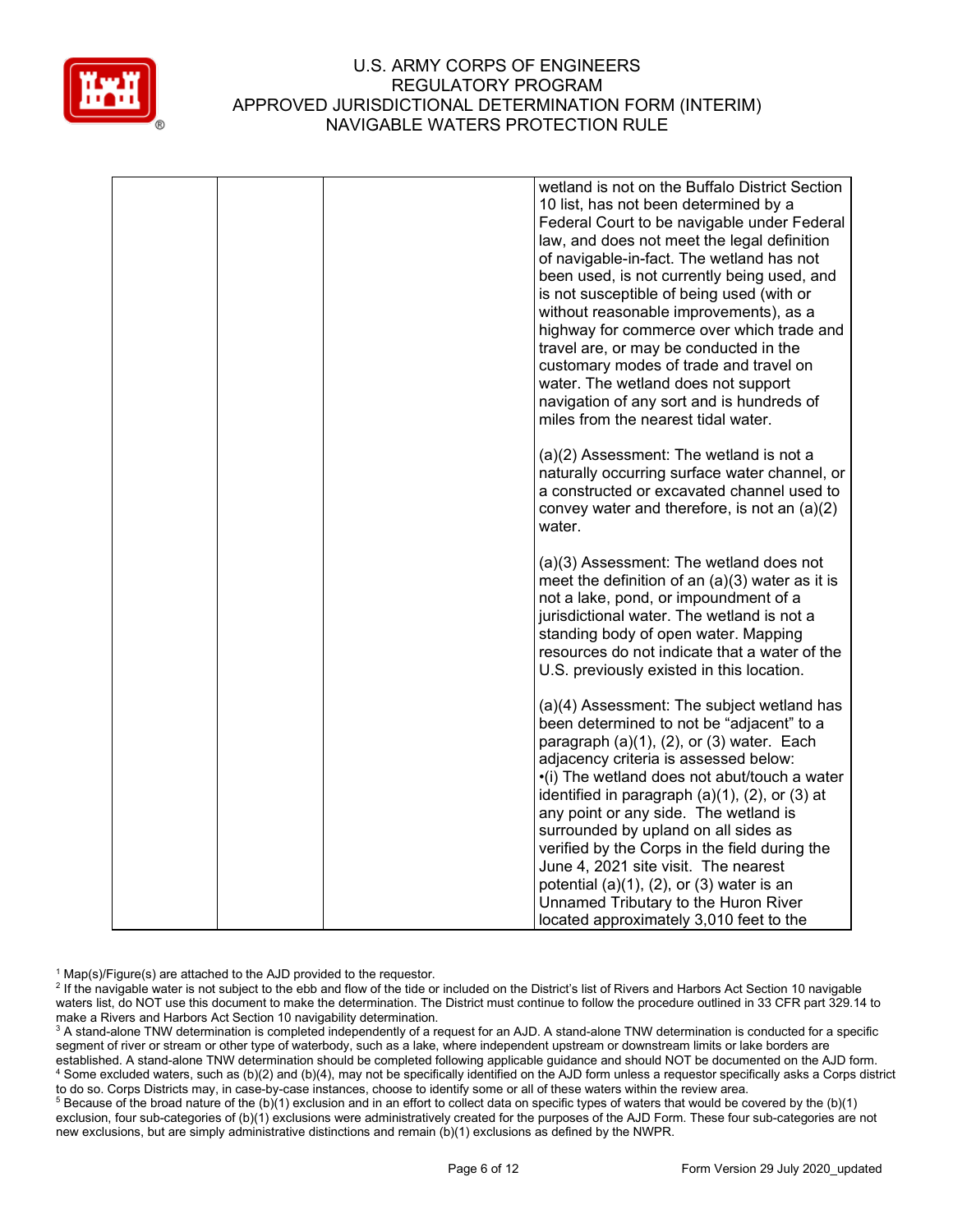

|  | wetland is not on the Buffalo District Section<br>10 list, has not been determined by a<br>Federal Court to be navigable under Federal<br>law, and does not meet the legal definition<br>of navigable-in-fact. The wetland has not<br>been used, is not currently being used, and<br>is not susceptible of being used (with or<br>without reasonable improvements), as a<br>highway for commerce over which trade and<br>travel are, or may be conducted in the<br>customary modes of trade and travel on<br>water. The wetland does not support<br>navigation of any sort and is hundreds of<br>miles from the nearest tidal water. |
|--|--------------------------------------------------------------------------------------------------------------------------------------------------------------------------------------------------------------------------------------------------------------------------------------------------------------------------------------------------------------------------------------------------------------------------------------------------------------------------------------------------------------------------------------------------------------------------------------------------------------------------------------|
|  | (a)(2) Assessment: The wetland is not a<br>naturally occurring surface water channel, or<br>a constructed or excavated channel used to<br>convey water and therefore, is not an $(a)(2)$<br>water.                                                                                                                                                                                                                                                                                                                                                                                                                                   |
|  | (a)(3) Assessment: The wetland does not<br>meet the definition of an $(a)(3)$ water as it is<br>not a lake, pond, or impoundment of a<br>jurisdictional water. The wetland is not a<br>standing body of open water. Mapping<br>resources do not indicate that a water of the<br>U.S. previously existed in this location.                                                                                                                                                                                                                                                                                                            |
|  | (a)(4) Assessment: The subject wetland has<br>been determined to not be "adjacent" to a<br>paragraph $(a)(1)$ , $(2)$ , or $(3)$ water. Each<br>adjacency criteria is assessed below:<br>•(i) The wetland does not abut/touch a water<br>identified in paragraph $(a)(1)$ , $(2)$ , or $(3)$ at<br>any point or any side. The wetland is<br>surrounded by upland on all sides as<br>verified by the Corps in the field during the<br>June 4, 2021 site visit. The nearest<br>potential $(a)(1)$ , $(2)$ , or $(3)$ water is an                                                                                                       |
|  | Unnamed Tributary to the Huron River<br>located approximately 3,010 feet to the                                                                                                                                                                                                                                                                                                                                                                                                                                                                                                                                                      |

 $1$  Map(s)/Figure(s) are attached to the AJD provided to the requestor.

<sup>2</sup> If the navigable water is not subject to the ebb and flow of the tide or included on the District's list of Rivers and Harbors Act Section 10 navigable waters list, do NOT use this document to make the determination. The District must continue to follow the procedure outlined in 33 CFR part 329.14 to make a Rivers and Harbors Act Section 10 navigability determination.

<sup>3</sup> A stand-alone TNW determination is completed independently of a request for an AJD. A stand-alone TNW determination is conducted for a specific segment of river or stream or other type of waterbody, such as a lake, where independent upstream or downstream limits or lake borders are established. A stand-alone TNW determination should be completed following applicable guidance and should NOT be documented on the AJD form. <sup>4</sup> Some excluded waters, such as (b)(2) and (b)(4), may not be specifically identified on the AJD form unless a requestor specifically asks a Corps district to do so. Corps Districts may, in case-by-case instances, choose to identify some or all of these waters within the review area.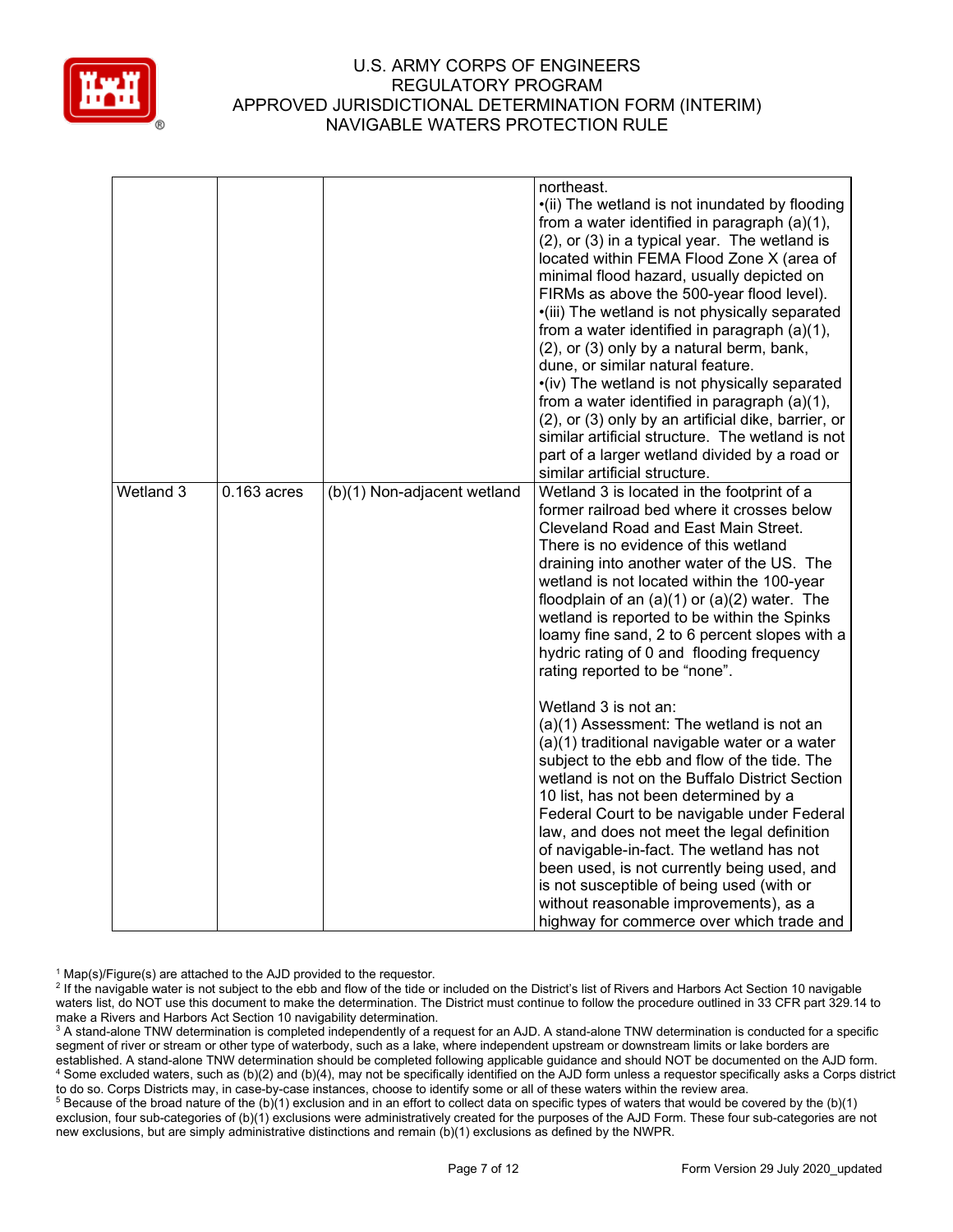

|           |               |                             | northeast.<br>•(ii) The wetland is not inundated by flooding<br>from a water identified in paragraph $(a)(1)$ ,<br>(2), or (3) in a typical year. The wetland is<br>located within FEMA Flood Zone X (area of<br>minimal flood hazard, usually depicted on<br>FIRMs as above the 500-year flood level).<br>·(iii) The wetland is not physically separated<br>from a water identified in paragraph (a)(1),<br>(2), or (3) only by a natural berm, bank,<br>dune, or similar natural feature.<br>•(iv) The wetland is not physically separated<br>from a water identified in paragraph (a)(1),<br>(2), or (3) only by an artificial dike, barrier, or<br>similar artificial structure. The wetland is not<br>part of a larger wetland divided by a road or<br>similar artificial structure. |
|-----------|---------------|-----------------------------|-------------------------------------------------------------------------------------------------------------------------------------------------------------------------------------------------------------------------------------------------------------------------------------------------------------------------------------------------------------------------------------------------------------------------------------------------------------------------------------------------------------------------------------------------------------------------------------------------------------------------------------------------------------------------------------------------------------------------------------------------------------------------------------------|
| Wetland 3 | $0.163$ acres | (b)(1) Non-adjacent wetland | Wetland 3 is located in the footprint of a<br>former railroad bed where it crosses below<br>Cleveland Road and East Main Street.<br>There is no evidence of this wetland<br>draining into another water of the US. The<br>wetland is not located within the 100-year<br>floodplain of an $(a)(1)$ or $(a)(2)$ water. The<br>wetland is reported to be within the Spinks<br>loamy fine sand, 2 to 6 percent slopes with a<br>hydric rating of 0 and flooding frequency<br>rating reported to be "none".                                                                                                                                                                                                                                                                                    |
|           |               |                             | Wetland 3 is not an:<br>(a)(1) Assessment: The wetland is not an<br>(a)(1) traditional navigable water or a water<br>subject to the ebb and flow of the tide. The<br>wetland is not on the Buffalo District Section<br>10 list, has not been determined by a<br>Federal Court to be navigable under Federal<br>law, and does not meet the legal definition<br>of navigable-in-fact. The wetland has not<br>been used, is not currently being used, and<br>is not susceptible of being used (with or<br>without reasonable improvements), as a<br>highway for commerce over which trade and                                                                                                                                                                                                |

 $1$  Map(s)/Figure(s) are attached to the AJD provided to the requestor.

<sup>&</sup>lt;sup>2</sup> If the navigable water is not subject to the ebb and flow of the tide or included on the District's list of Rivers and Harbors Act Section 10 navigable waters list, do NOT use this document to make the determination. The District must continue to follow the procedure outlined in 33 CFR part 329.14 to make a Rivers and Harbors Act Section 10 navigability determination.

<sup>&</sup>lt;sup>3</sup> A stand-alone TNW determination is completed independently of a request for an AJD. A stand-alone TNW determination is conducted for a specific segment of river or stream or other type of waterbody, such as a lake, where independent upstream or downstream limits or lake borders are established. A stand-alone TNW determination should be completed following applicable guidance and should NOT be documented on the AJD form. <sup>4</sup> Some excluded waters, such as (b)(2) and (b)(4), may not be specifically identified on the AJD form unless a requestor specifically asks a Corps district to do so. Corps Districts may, in case-by-case instances, choose to identify some or all of these waters within the review area.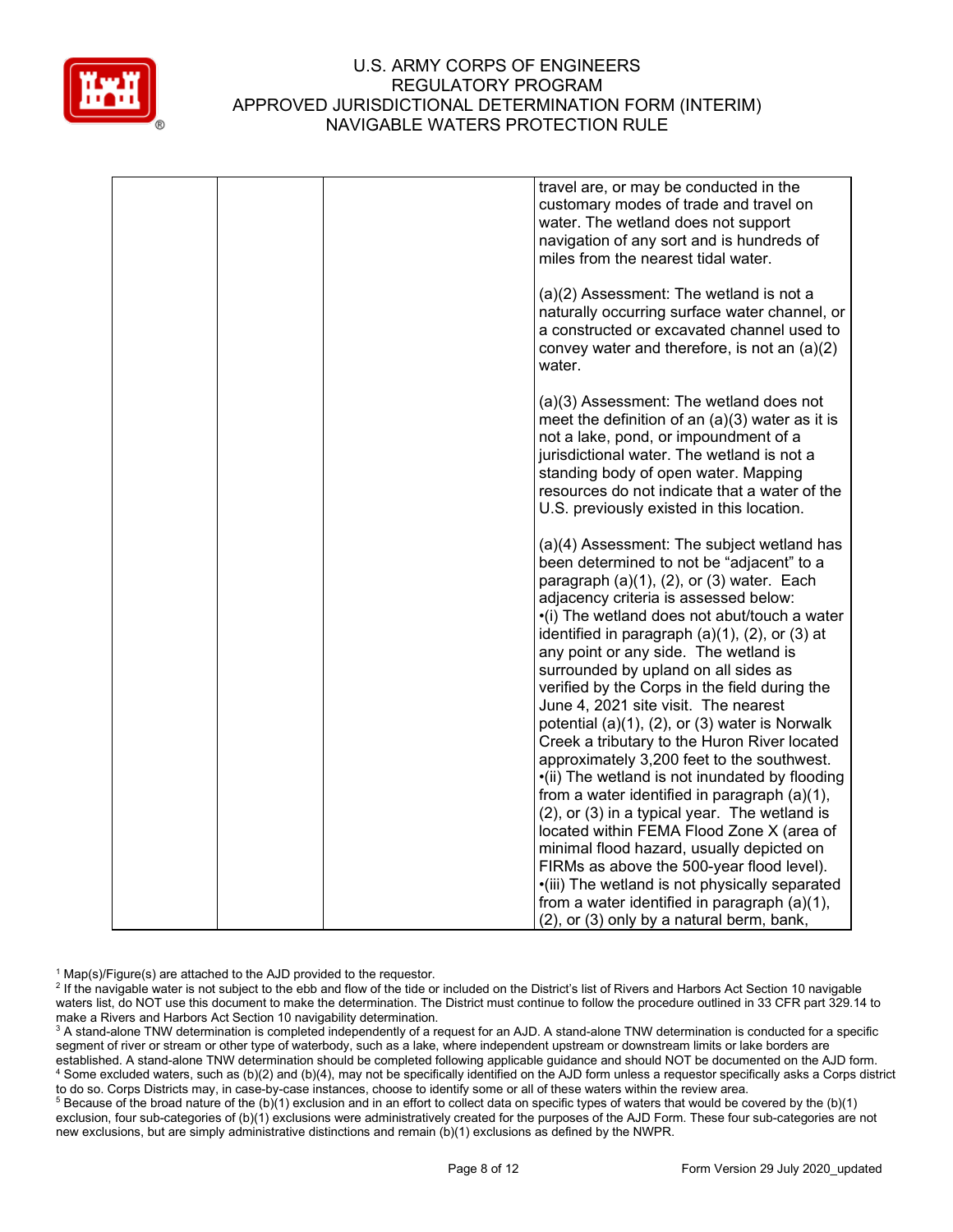

|  | travel are, or may be conducted in the<br>customary modes of trade and travel on<br>water. The wetland does not support<br>navigation of any sort and is hundreds of<br>miles from the nearest tidal water.                                                                                                                                                                                                                                                                                                                                                                                                                       |
|--|-----------------------------------------------------------------------------------------------------------------------------------------------------------------------------------------------------------------------------------------------------------------------------------------------------------------------------------------------------------------------------------------------------------------------------------------------------------------------------------------------------------------------------------------------------------------------------------------------------------------------------------|
|  | (a)(2) Assessment: The wetland is not a<br>naturally occurring surface water channel, or<br>a constructed or excavated channel used to<br>convey water and therefore, is not an $(a)(2)$<br>water.                                                                                                                                                                                                                                                                                                                                                                                                                                |
|  | (a)(3) Assessment: The wetland does not<br>meet the definition of an $(a)(3)$ water as it is<br>not a lake, pond, or impoundment of a<br>jurisdictional water. The wetland is not a<br>standing body of open water. Mapping<br>resources do not indicate that a water of the<br>U.S. previously existed in this location.                                                                                                                                                                                                                                                                                                         |
|  | (a)(4) Assessment: The subject wetland has<br>been determined to not be "adjacent" to a<br>paragraph $(a)(1)$ , $(2)$ , or $(3)$ water. Each<br>adjacency criteria is assessed below:<br>•(i) The wetland does not abut/touch a water<br>identified in paragraph $(a)(1)$ , $(2)$ , or $(3)$ at<br>any point or any side. The wetland is<br>surrounded by upland on all sides as<br>verified by the Corps in the field during the<br>June 4, 2021 site visit. The nearest<br>potential $(a)(1)$ , $(2)$ , or $(3)$ water is Norwalk<br>Creek a tributary to the Huron River located<br>approximately 3,200 feet to the southwest. |
|  | •(ii) The wetland is not inundated by flooding<br>from a water identified in paragraph (a)(1),<br>(2), or (3) in a typical year. The wetland is<br>located within FEMA Flood Zone X (area of<br>minimal flood hazard, usually depicted on<br>FIRMs as above the 500-year flood level).<br>·(iii) The wetland is not physically separated<br>from a water identified in paragraph (a)(1),<br>(2), or (3) only by a natural berm, bank,                                                                                                                                                                                             |

 $1$  Map(s)/Figure(s) are attached to the AJD provided to the requestor.

<sup>2</sup> If the navigable water is not subject to the ebb and flow of the tide or included on the District's list of Rivers and Harbors Act Section 10 navigable waters list, do NOT use this document to make the determination. The District must continue to follow the procedure outlined in 33 CFR part 329.14 to make a Rivers and Harbors Act Section 10 navigability determination.

<sup>3</sup> A stand-alone TNW determination is completed independently of a request for an AJD. A stand-alone TNW determination is conducted for a specific segment of river or stream or other type of waterbody, such as a lake, where independent upstream or downstream limits or lake borders are established. A stand-alone TNW determination should be completed following applicable guidance and should NOT be documented on the AJD form. <sup>4</sup> Some excluded waters, such as (b)(2) and (b)(4), may not be specifically identified on the AJD form unless a requestor specifically asks a Corps district to do so. Corps Districts may, in case-by-case instances, choose to identify some or all of these waters within the review area.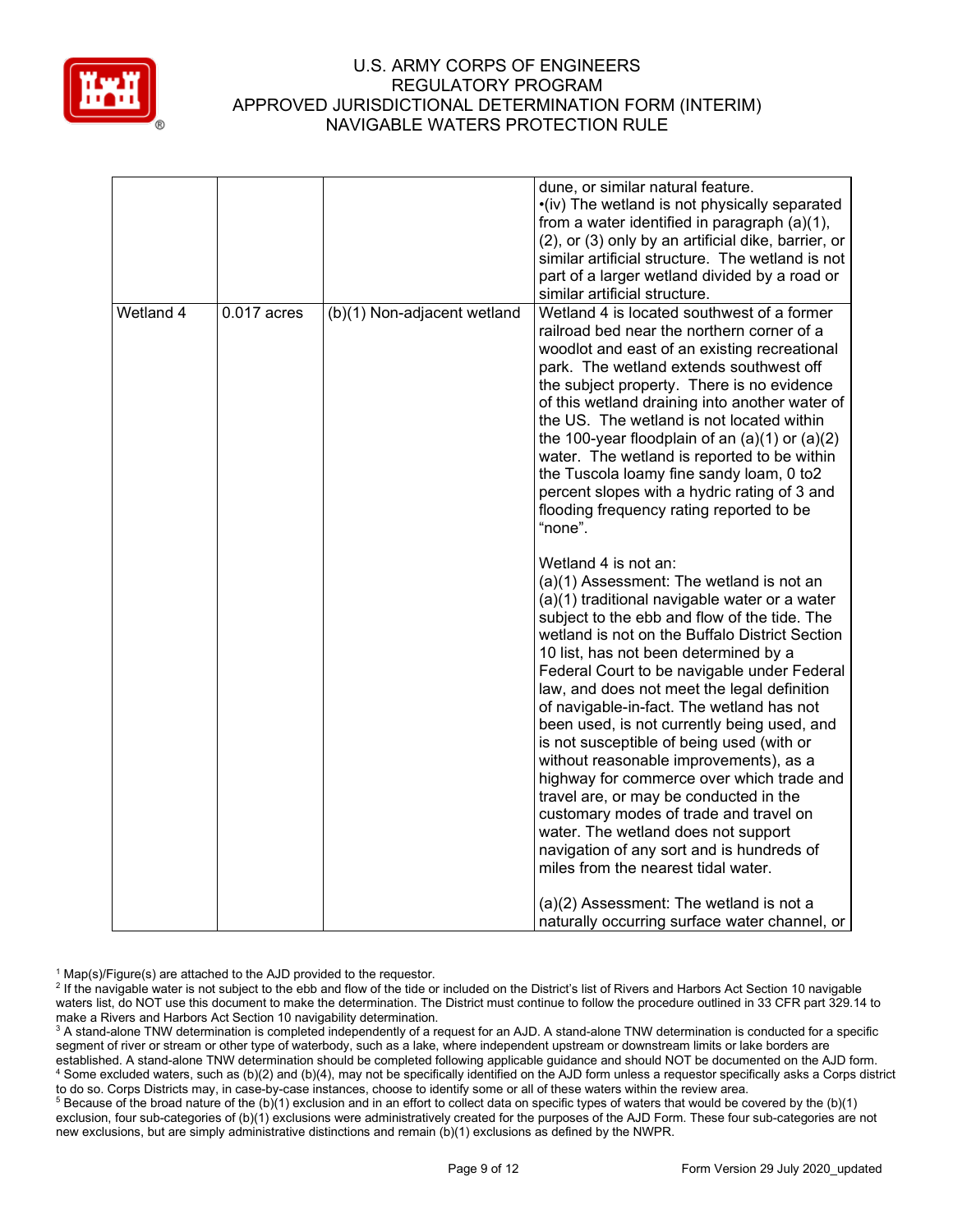

|           |               |                             | dune, or similar natural feature.<br>•(iv) The wetland is not physically separated<br>from a water identified in paragraph (a)(1),<br>(2), or (3) only by an artificial dike, barrier, or<br>similar artificial structure. The wetland is not<br>part of a larger wetland divided by a road or                                                                                                                                                                                                                                                                                                                                                                                                                                                                                                            |
|-----------|---------------|-----------------------------|-----------------------------------------------------------------------------------------------------------------------------------------------------------------------------------------------------------------------------------------------------------------------------------------------------------------------------------------------------------------------------------------------------------------------------------------------------------------------------------------------------------------------------------------------------------------------------------------------------------------------------------------------------------------------------------------------------------------------------------------------------------------------------------------------------------|
|           |               |                             | similar artificial structure.                                                                                                                                                                                                                                                                                                                                                                                                                                                                                                                                                                                                                                                                                                                                                                             |
| Wetland 4 | $0.017$ acres | (b)(1) Non-adjacent wetland | Wetland 4 is located southwest of a former<br>railroad bed near the northern corner of a<br>woodlot and east of an existing recreational<br>park. The wetland extends southwest off<br>the subject property. There is no evidence<br>of this wetland draining into another water of<br>the US. The wetland is not located within<br>the 100-year floodplain of an $(a)(1)$ or $(a)(2)$<br>water. The wetland is reported to be within<br>the Tuscola loamy fine sandy loam, 0 to2<br>percent slopes with a hydric rating of 3 and<br>flooding frequency rating reported to be<br>"none".                                                                                                                                                                                                                  |
|           |               |                             | Wetland 4 is not an:<br>(a)(1) Assessment: The wetland is not an<br>(a)(1) traditional navigable water or a water<br>subject to the ebb and flow of the tide. The<br>wetland is not on the Buffalo District Section<br>10 list, has not been determined by a<br>Federal Court to be navigable under Federal<br>law, and does not meet the legal definition<br>of navigable-in-fact. The wetland has not<br>been used, is not currently being used, and<br>is not susceptible of being used (with or<br>without reasonable improvements), as a<br>highway for commerce over which trade and<br>travel are, or may be conducted in the<br>customary modes of trade and travel on<br>water. The wetland does not support<br>navigation of any sort and is hundreds of<br>miles from the nearest tidal water. |
|           |               |                             | (a)(2) Assessment: The wetland is not a<br>naturally occurring surface water channel, or                                                                                                                                                                                                                                                                                                                                                                                                                                                                                                                                                                                                                                                                                                                  |

 $1$  Map(s)/Figure(s) are attached to the AJD provided to the requestor.

<sup>2</sup> If the navigable water is not subject to the ebb and flow of the tide or included on the District's list of Rivers and Harbors Act Section 10 navigable waters list, do NOT use this document to make the determination. The District must continue to follow the procedure outlined in 33 CFR part 329.14 to make a Rivers and Harbors Act Section 10 navigability determination.

<sup>3</sup> A stand-alone TNW determination is completed independently of a request for an AJD. A stand-alone TNW determination is conducted for a specific segment of river or stream or other type of waterbody, such as a lake, where independent upstream or downstream limits or lake borders are established. A stand-alone TNW determination should be completed following applicable guidance and should NOT be documented on the AJD form. <sup>4</sup> Some excluded waters, such as (b)(2) and (b)(4), may not be specifically identified on the AJD form unless a requestor specifically asks a Corps district to do so. Corps Districts may, in case-by-case instances, choose to identify some or all of these waters within the review area.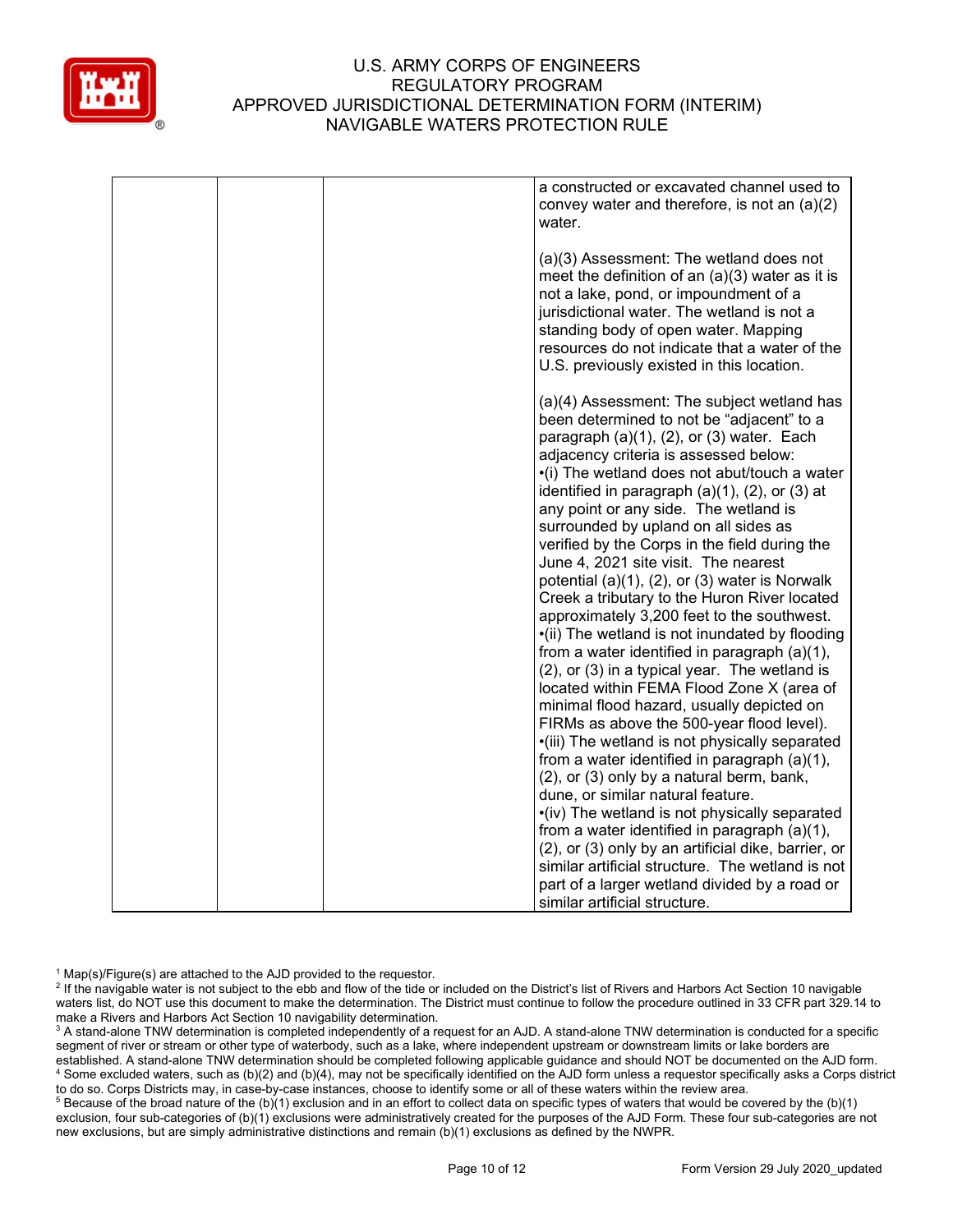

|  | a constructed or excavated channel used to<br>convey water and therefore, is not an $(a)(2)$<br>water.                                                                                                                                                                                                                                                                                                                                                                                                                                                                                                                                                                                                                                                                                                                                                                                                                                                                                                                                                                                                  |
|--|---------------------------------------------------------------------------------------------------------------------------------------------------------------------------------------------------------------------------------------------------------------------------------------------------------------------------------------------------------------------------------------------------------------------------------------------------------------------------------------------------------------------------------------------------------------------------------------------------------------------------------------------------------------------------------------------------------------------------------------------------------------------------------------------------------------------------------------------------------------------------------------------------------------------------------------------------------------------------------------------------------------------------------------------------------------------------------------------------------|
|  | (a)(3) Assessment: The wetland does not<br>meet the definition of an $(a)(3)$ water as it is<br>not a lake, pond, or impoundment of a<br>jurisdictional water. The wetland is not a<br>standing body of open water. Mapping<br>resources do not indicate that a water of the<br>U.S. previously existed in this location.                                                                                                                                                                                                                                                                                                                                                                                                                                                                                                                                                                                                                                                                                                                                                                               |
|  | (a)(4) Assessment: The subject wetland has<br>been determined to not be "adjacent" to a<br>paragraph $(a)(1)$ , $(2)$ , or $(3)$ water. Each<br>adjacency criteria is assessed below:<br>•(i) The wetland does not abut/touch a water<br>identified in paragraph $(a)(1)$ , $(2)$ , or $(3)$ at<br>any point or any side. The wetland is<br>surrounded by upland on all sides as<br>verified by the Corps in the field during the<br>June 4, 2021 site visit. The nearest<br>potential (a)(1), (2), or (3) water is Norwalk<br>Creek a tributary to the Huron River located<br>approximately 3,200 feet to the southwest.<br>•(ii) The wetland is not inundated by flooding<br>from a water identified in paragraph (a)(1),<br>(2), or (3) in a typical year. The wetland is<br>located within FEMA Flood Zone X (area of<br>minimal flood hazard, usually depicted on<br>FIRMs as above the 500-year flood level).<br>·(iii) The wetland is not physically separated<br>from a water identified in paragraph (a)(1),<br>(2), or (3) only by a natural berm, bank,<br>dune, or similar natural feature. |
|  | •(iv) The wetland is not physically separated<br>from a water identified in paragraph $(a)(1)$ ,<br>(2), or (3) only by an artificial dike, barrier, or<br>similar artificial structure. The wetland is not<br>part of a larger wetland divided by a road or<br>similar artificial structure.                                                                                                                                                                                                                                                                                                                                                                                                                                                                                                                                                                                                                                                                                                                                                                                                           |

 $1$  Map(s)/Figure(s) are attached to the AJD provided to the requestor.

<sup>2</sup> If the navigable water is not subject to the ebb and flow of the tide or included on the District's list of Rivers and Harbors Act Section 10 navigable waters list, do NOT use this document to make the determination. The District must continue to follow the procedure outlined in 33 CFR part 329.14 to make a Rivers and Harbors Act Section 10 navigability determination.

<sup>3</sup> A stand-alone TNW determination is completed independently of a request for an AJD. A stand-alone TNW determination is conducted for a specific segment of river or stream or other type of waterbody, such as a lake, where independent upstream or downstream limits or lake borders are established. A stand-alone TNW determination should be completed following applicable guidance and should NOT be documented on the AJD form. <sup>4</sup> Some excluded waters, such as (b)(2) and (b)(4), may not be specifically identified on the AJD form unless a requestor specifically asks a Corps district to do so. Corps Districts may, in case-by-case instances, choose to identify some or all of these waters within the review area.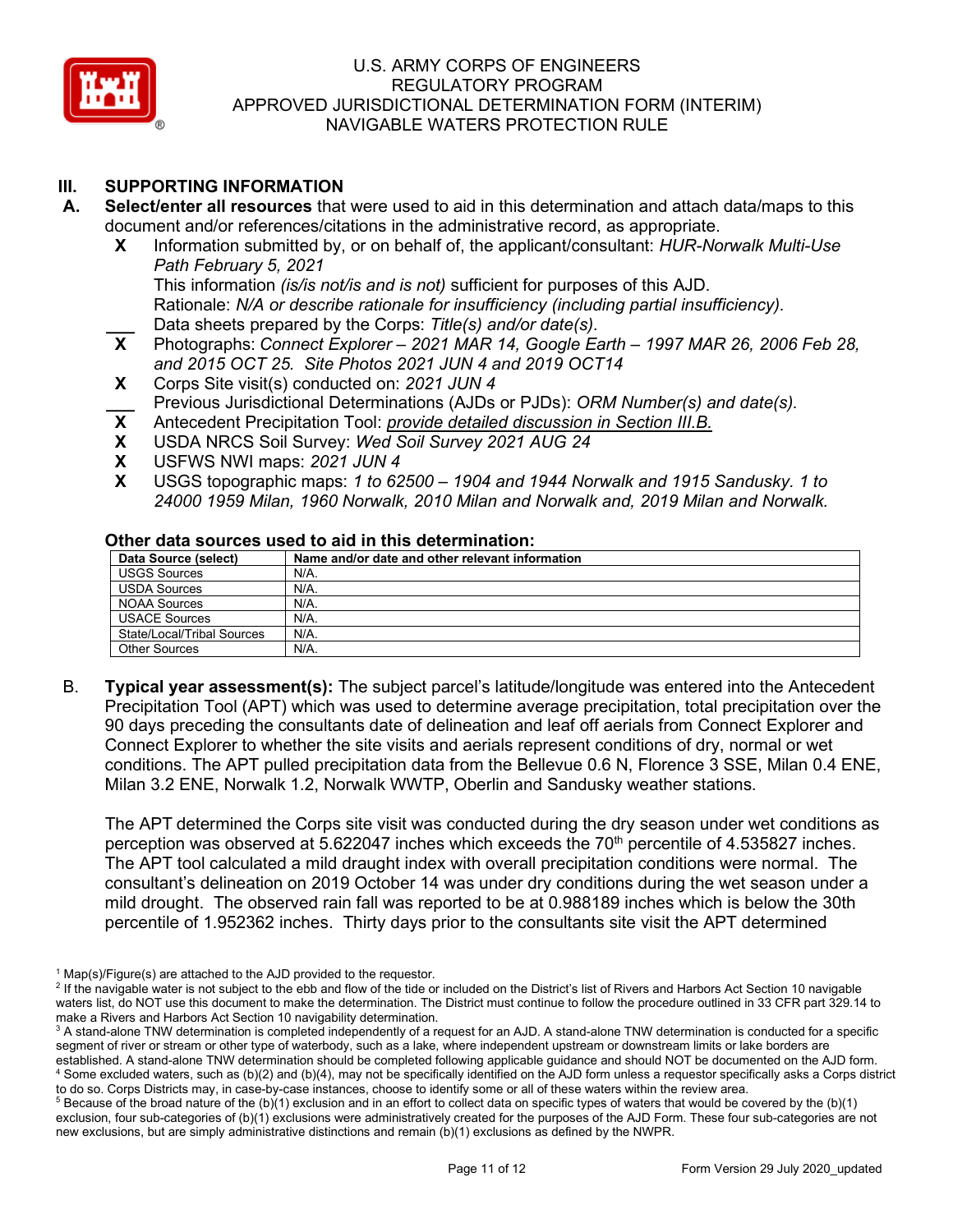

# **III. SUPPORTING INFORMATION**

- **A. Select/enter all resources** that were used to aid in this determination and attach data/maps to this document and/or references/citations in the administrative record, as appropriate.
	- **X** Information submitted by, or on behalf of, the applicant/consultant: *HUR-Norwalk Multi-Use Path February 5, 2021* This information *(is/is not/is and is not)* sufficient for purposes of this AJD. Rationale: *N/A or describe rationale for insufficiency (including partial insufficiency).*
	- Data sheets prepared by the Corps: *Title(s) and/or date(s).*<br>**X** Photographs: *Connect Explorer 2021 MAR 14. Google Eal* **X** Photographs: *Connect Explorer – 2021 MAR 14, Google Earth – 1997 MAR 26, 2006 Feb 28, and 2015 OCT 25. Site Photos 2021 JUN 4 and 2019 OCT14*
	- **X** Corps Site visit(s) conducted on: *2021 JUN 4* **\_\_\_** Previous Jurisdictional Determinations (AJDs or PJDs): *ORM Number(s) and date(s).*
	- **X** Antecedent Precipitation Tool: *provide detailed discussion in Section III.B.*
	- **X** USDA NRCS Soil Survey: *Wed Soil Survey 2021 AUG 24*
	- **X** USFWS NWI maps: *2021 JUN 4*
	- **X** USGS topographic maps: *1 to 62500 – 1904 and 1944 Norwalk and 1915 Sandusky. 1 to 24000 1959 Milan, 1960 Norwalk, 2010 Milan and Norwalk and, 2019 Milan and Norwalk.*

#### **Other data sources used to aid in this determination:**

| Data Source (select)       | Name and/or date and other relevant information |  |  |  |
|----------------------------|-------------------------------------------------|--|--|--|
| <b>USGS Sources</b>        | N/A.                                            |  |  |  |
| USDA Sources               | N/A.                                            |  |  |  |
| NOAA Sources               | N/A.                                            |  |  |  |
| <b>USACE Sources</b>       | N/A.                                            |  |  |  |
| State/Local/Tribal Sources | N/A.                                            |  |  |  |
| <b>Other Sources</b>       | N/A.                                            |  |  |  |

B. **Typical year assessment(s):** The subject parcel's latitude/longitude was entered into the Antecedent Precipitation Tool (APT) which was used to determine average precipitation, total precipitation over the 90 days preceding the consultants date of delineation and leaf off aerials from Connect Explorer and Connect Explorer to whether the site visits and aerials represent conditions of dry, normal or wet conditions. The APT pulled precipitation data from the Bellevue 0.6 N, Florence 3 SSE, Milan 0.4 ENE, Milan 3.2 ENE, Norwalk 1.2, Norwalk WWTP, Oberlin and Sandusky weather stations.

The APT determined the Corps site visit was conducted during the dry season under wet conditions as perception was observed at  $5.622047$  inches which exceeds the  $70<sup>th</sup>$  percentile of 4.535827 inches. The APT tool calculated a mild draught index with overall precipitation conditions were normal. The consultant's delineation on 2019 October 14 was under dry conditions during the wet season under a mild drought. The observed rain fall was reported to be at 0.988189 inches which is below the 30th percentile of 1.952362 inches. Thirty days prior to the consultants site visit the APT determined

 $1$  Map(s)/Figure(s) are attached to the AJD provided to the requestor.

<sup>&</sup>lt;sup>2</sup> If the navigable water is not subject to the ebb and flow of the tide or included on the District's list of Rivers and Harbors Act Section 10 navigable waters list, do NOT use this document to make the determination. The District must continue to follow the procedure outlined in 33 CFR part 329.14 to make a Rivers and Harbors Act Section 10 navigability determination.

<sup>&</sup>lt;sup>3</sup> A stand-alone TNW determination is completed independently of a request for an AJD. A stand-alone TNW determination is conducted for a specific segment of river or stream or other type of waterbody, such as a lake, where independent upstream or downstream limits or lake borders are established. A stand-alone TNW determination should be completed following applicable guidance and should NOT be documented on the AJD form. <sup>4</sup> Some excluded waters, such as (b)(2) and (b)(4), may not be specifically identified on the AJD form unless a requestor specifically asks a Corps district to do so. Corps Districts may, in case-by-case instances, choose to identify some or all of these waters within the review area.

 $5$  Because of the broad nature of the (b)(1) exclusion and in an effort to collect data on specific types of waters that would be covered by the (b)(1) exclusion, four sub-categories of (b)(1) exclusions were administratively created for the purposes of the AJD Form. These four sub-categories are not new exclusions, but are simply administrative distinctions and remain (b)(1) exclusions as defined by the NWPR.